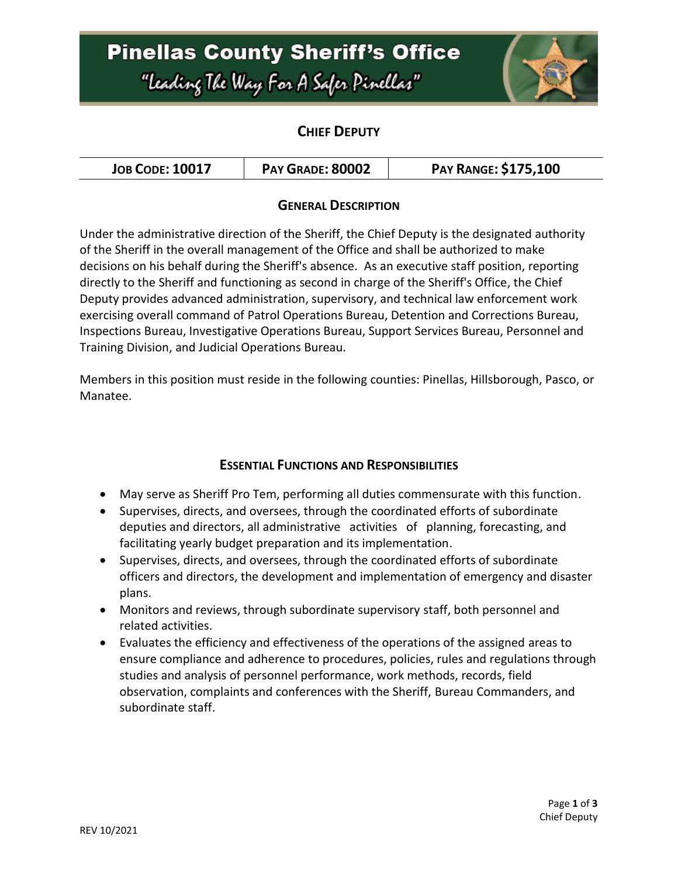# **Pinellas County Sheriff's Office** "Leading The Way For A Safer Pinellar"



### **CHIEF DEPUTY**

| <b>JOB CODE: 10017</b> | PAY GRADE: 80002 | <b>PAY RANGE: \$175,100</b> |
|------------------------|------------------|-----------------------------|
|------------------------|------------------|-----------------------------|

#### **GENERAL DESCRIPTION**

Under the administrative direction of the Sheriff, the Chief Deputy is the designated authority of the Sheriff in the overall management of the Office and shall be authorized to make decisions on his behalf during the Sheriff's absence. As an executive staff position, reporting directly to the Sheriff and functioning as second in charge of the Sheriff's Office, the Chief Deputy provides advanced administration, supervisory, and technical law enforcement work exercising overall command of Patrol Operations Bureau, Detention and Corrections Bureau, Inspections Bureau, Investigative Operations Bureau, Support Services Bureau, Personnel and Training Division, and Judicial Operations Bureau.

Members in this position must reside in the following counties: Pinellas, Hillsborough, Pasco, or Manatee.

### **ESSENTIAL FUNCTIONS AND RESPONSIBILITIES**

- May serve as Sheriff Pro Tem, performing all duties commensurate with this function.
- Supervises, directs, and oversees, through the coordinated efforts of subordinate deputies and directors, all administrative activities of planning, forecasting, and facilitating yearly budget preparation and its implementation.
- Supervises, directs, and oversees, through the coordinated efforts of subordinate officers and directors, the development and implementation of emergency and disaster plans.
- Monitors and reviews, through subordinate supervisory staff, both personnel and related activities.
- Evaluates the efficiency and effectiveness of the operations of the assigned areas to ensure compliance and adherence to procedures, policies, rules and regulations through studies and analysis of personnel performance, work methods, records, field observation, complaints and conferences with the Sheriff, Bureau Commanders, and subordinate staff.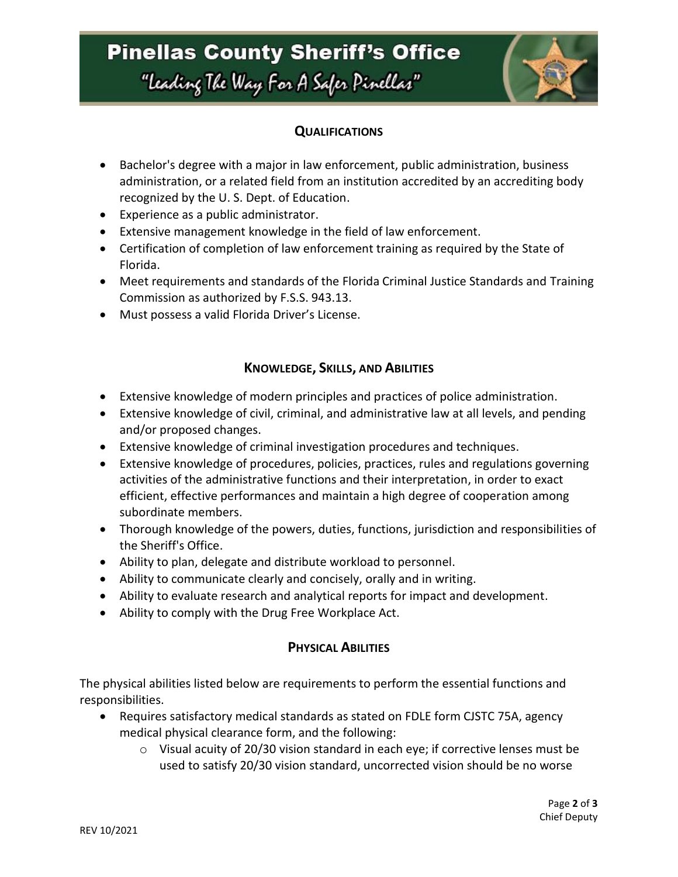# **Pinellas County Sheriff's Office** "Leading The Way For A Safer Pinellar"



### **QUALIFICATIONS**

- Bachelor's degree with a major in law enforcement, public administration, business administration, or a related field from an institution accredited by an accrediting body recognized by the U. S. Dept. of Education.
- Experience as a public administrator.
- Extensive management knowledge in the field of law enforcement.
- Certification of completion of law enforcement training as required by the State of Florida.
- Meet requirements and standards of the Florida Criminal Justice Standards and Training Commission as authorized by F.S.S. 943.13.
- Must possess a valid Florida Driver's License.

#### **KNOWLEDGE, SKILLS, AND ABILITIES**

- Extensive knowledge of modern principles and practices of police administration.
- Extensive knowledge of civil, criminal, and administrative law at all levels, and pending and/or proposed changes.
- Extensive knowledge of criminal investigation procedures and techniques.
- Extensive knowledge of procedures, policies, practices, rules and regulations governing activities of the administrative functions and their interpretation, in order to exact efficient, effective performances and maintain a high degree of cooperation among subordinate members.
- Thorough knowledge of the powers, duties, functions, jurisdiction and responsibilities of the Sheriff's Office.
- Ability to plan, delegate and distribute workload to personnel.
- Ability to communicate clearly and concisely, orally and in writing.
- Ability to evaluate research and analytical reports for impact and development.
- Ability to comply with the Drug Free Workplace Act.

### **PHYSICAL ABILITIES**

The physical abilities listed below are requirements to perform the essential functions and responsibilities.

- Requires satisfactory medical standards as stated on FDLE form CJSTC 75A, agency medical physical clearance form, and the following:
	- o Visual acuity of 20/30 vision standard in each eye; if corrective lenses must be used to satisfy 20/30 vision standard, uncorrected vision should be no worse